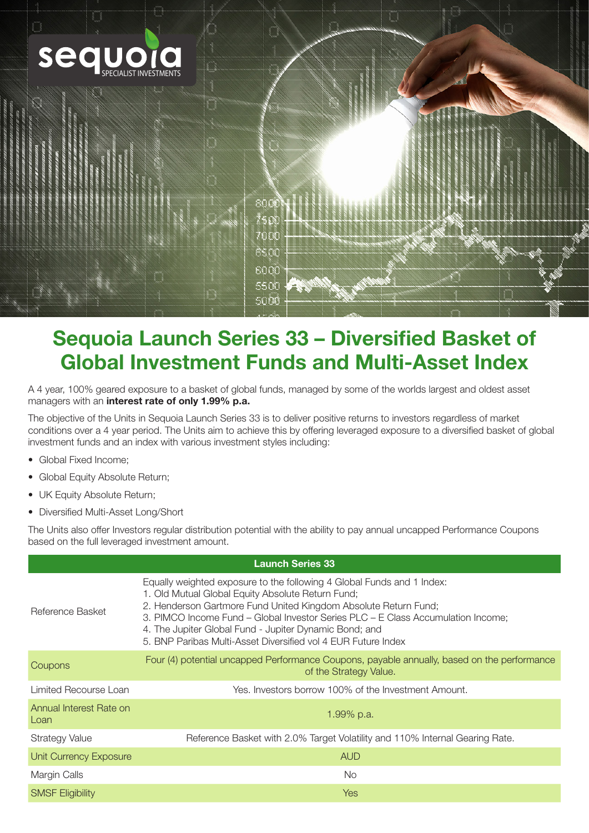

# Sequoia Launch Series 33 – Diversified Basket of Global Investment Funds and Multi-Asset Index

A 4 year, 100% geared exposure to a basket of global funds, managed by some of the worlds largest and oldest asset managers with an interest rate of only 1.99% p.a.

The objective of the Units in Sequoia Launch Series 33 is to deliver positive returns to investors regardless of market conditions over a 4 year period. The Units aim to achieve this by offering leveraged exposure to a diversified basket of global investment funds and an index with various investment styles including:

- Global Fixed Income:
- Global Equity Absolute Return;
- UK Equity Absolute Return;
- Diversified Multi-Asset Long/Short

The Units also offer Investors regular distribution potential with the ability to pay annual uncapped Performance Coupons based on the full leveraged investment amount.

| <b>Launch Series 33</b>         |                                                                                                                                                                                                                                                                                                                                                                                                               |  |  |  |  |  |
|---------------------------------|---------------------------------------------------------------------------------------------------------------------------------------------------------------------------------------------------------------------------------------------------------------------------------------------------------------------------------------------------------------------------------------------------------------|--|--|--|--|--|
| Reference Basket                | Equally weighted exposure to the following 4 Global Funds and 1 Index:<br>1. Old Mutual Global Equity Absolute Return Fund;<br>2. Henderson Gartmore Fund United Kingdom Absolute Return Fund;<br>3. PIMCO Income Fund - Global Investor Series PLC - E Class Accumulation Income;<br>4. The Jupiter Global Fund - Jupiter Dynamic Bond; and<br>5. BNP Paribas Multi-Asset Diversified vol 4 EUR Future Index |  |  |  |  |  |
| Coupons                         | Four (4) potential uncapped Performance Coupons, payable annually, based on the performance<br>of the Strategy Value.                                                                                                                                                                                                                                                                                         |  |  |  |  |  |
| Limited Recourse Loan           | Yes. Investors borrow 100% of the Investment Amount.                                                                                                                                                                                                                                                                                                                                                          |  |  |  |  |  |
| Annual Interest Rate on<br>Loan | 1.99% p.a.                                                                                                                                                                                                                                                                                                                                                                                                    |  |  |  |  |  |
| Strategy Value                  | Reference Basket with 2.0% Target Volatility and 110% Internal Gearing Rate.                                                                                                                                                                                                                                                                                                                                  |  |  |  |  |  |
| <b>Unit Currency Exposure</b>   | <b>AUD</b>                                                                                                                                                                                                                                                                                                                                                                                                    |  |  |  |  |  |
| Margin Calls                    | <b>No</b>                                                                                                                                                                                                                                                                                                                                                                                                     |  |  |  |  |  |
| <b>SMSF Eligibility</b>         | <b>Yes</b>                                                                                                                                                                                                                                                                                                                                                                                                    |  |  |  |  |  |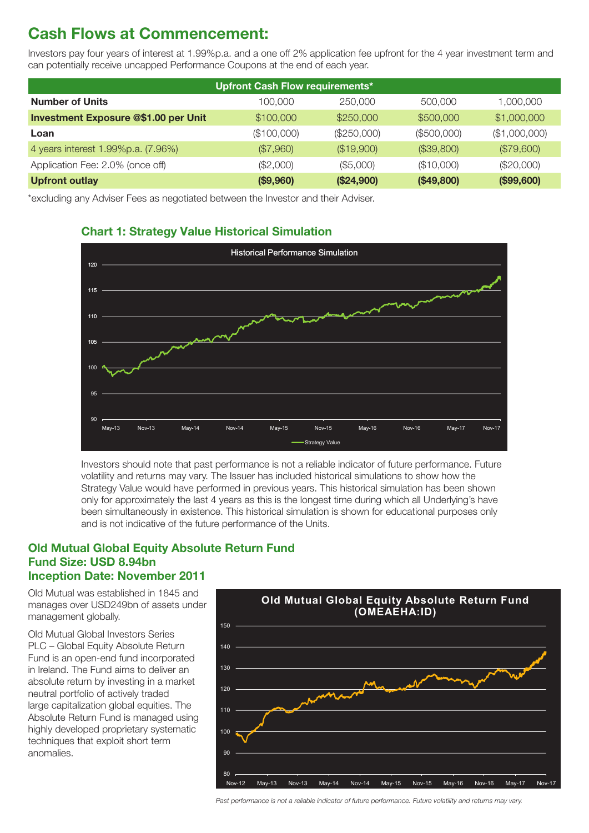## Cash Flows at Commencement:

Investors pay four years of interest at 1.99%p.a. and a one off 2% application fee upfront for the 4 year investment term and can potentially receive uncapped Performance Coupons at the end of each year.

| <b>Upfront Cash Flow requirements*</b>      |             |               |             |               |  |  |
|---------------------------------------------|-------------|---------------|-------------|---------------|--|--|
| <b>Number of Units</b>                      | 100,000     | 250,000       | 500,000     | 1,000,000     |  |  |
| <b>Investment Exposure @\$1.00 per Unit</b> | \$100,000   | \$250,000     | \$500,000   | \$1,000,000   |  |  |
| Loan                                        | (\$100,000) | $(\$250,000)$ | (\$500,000) | (\$1,000,000) |  |  |
| 4 years interest 1.99%p.a. (7.96%)          | (\$7,960)   | (\$19,900)    | (\$39,800)  | (\$79,600)    |  |  |
| Application Fee: 2.0% (once off)            | (\$2,000)   | (\$5,000)     | (\$10,000)  | (\$20,000)    |  |  |
| <b>Upfront outlay</b>                       | (\$9,960)   | (\$24,900)    | (\$49,800)  | (\$99,600)    |  |  |

\*excluding any Adviser Fees as negotiated between the Investor and their Adviser.



#### Chart 1: Strategy Value Historical Simulation

Investors should note that past performance is not a reliable indicator of future performance. Future volatility and returns may vary. The Issuer has included historical simulations to show how the Strategy Value would have performed in previous years. This historical simulation has been shown only for approximately the last 4 years as this is the longest time during which all Underlying's have been simultaneously in existence. This historical simulation is shown for educational purposes only and is not indicative of the future performance of the Units.

#### **Old Mutual Global Equity Absolute Return Fund** Fund Size: USD 8.94bn Inception Date: November 2011

Old Mutual was established in 1845 and manages over USD249bn of assets under management globally.

Old Mutual Global Investors Series PLC – Global Equity Absolute Return Fund is an open-end fund incorporated in Ireland. The Fund aims to deliver an absolute return by investing in a market neutral portfolio of actively traded large capitalization global equities. The Absolute Return Fund is managed using highly developed proprietary systematic techniques that exploit short term anomalies.



*Past performance is not a reliable indicator of future performance. Future volatility and returns may vary.*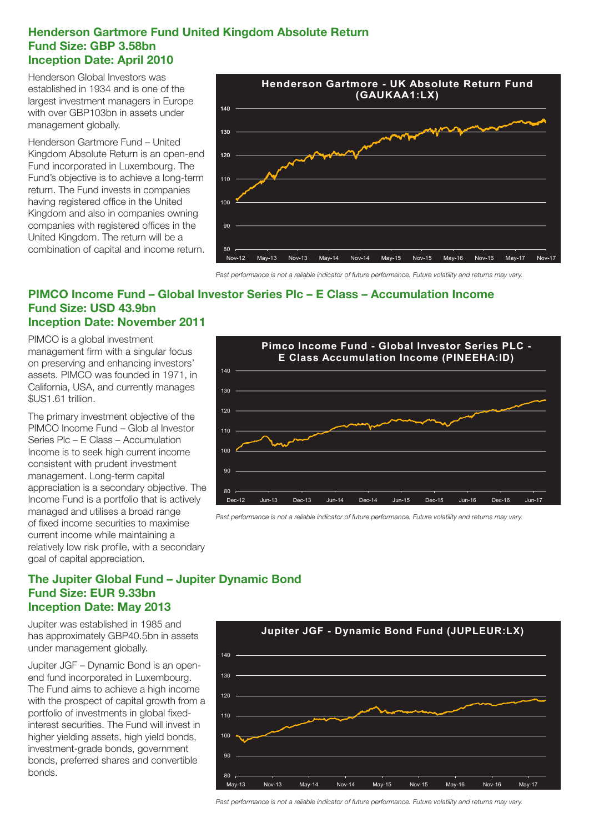#### Henderson Gartmore Fund United Kingdom Absolute Return Fund Size: GBP 3.58bn Inception Date: April 2010

Henderson Global Investors was established in 1934 and is one of the largest investment managers in Europe with over GBP103bn in assets under management globally.

Henderson Gartmore Fund – United Kingdom Absolute Return is an open-end Fund incorporated in Luxembourg. The Fund's objective is to achieve a long-term return. The Fund invests in companies having registered office in the United Kingdom and also in companies owning companies with registered offices in the United Kingdom. The return will be a combination of capital and income return.



*Past performance is not a reliable indicator of future performance. Future volatility and returns may vary.*

#### PIMCO Income Fund – Global Investor Series Plc – E Class – Accumulation Income Fund Size: USD 43.9bn Inception Date: November 2011

PIMCO is a global investment management firm with a singular focus on preserving and enhancing investors' assets. PIMCO was founded in 1971, in California, USA, and currently manages \$US1.61 trillion.

The primary investment objective of the PIMCO Income Fund – Glob al Investor Series Plc – E Class – Accumulation Income is to seek high current income consistent with prudent investment management. Long-term capital appreciation is a secondary objective. The Income Fund is a portfolio that is actively managed and utilises a broad range of fixed income securities to maximise current income while maintaining a relatively low risk profile, with a secondary goal of capital appreciation.



*Past performance is not a reliable indicator of future performance. Future volatility and returns may vary.*

#### The Jupiter Global Fund – Jupiter Dynamic Bond Fund Size: EUR 9.33bn Inception Date: May 2013

Jupiter was established in 1985 and has approximately GBP40.5bn in assets under management globally.

Jupiter JGF – Dynamic Bond is an openend fund incorporated in Luxembourg. The Fund aims to achieve a high income with the prospect of capital growth from a portfolio of investments in global fixedinterest securities. The Fund will invest in higher yielding assets, high yield bonds, investment-grade bonds, government bonds, preferred shares and convertible bonds.



*Past performance is not a reliable indicator of future performance. Future volatility and returns may vary.*